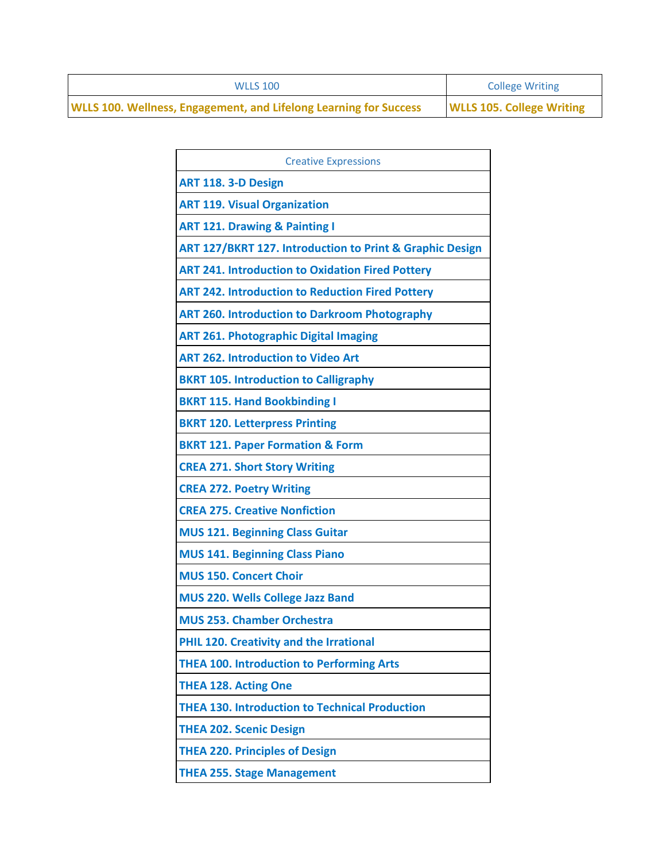| <b>WLLS 100</b>                                                          | <b>College Writing</b>           |
|--------------------------------------------------------------------------|----------------------------------|
| <b>WLLS 100. Wellness, Engagement, and Lifelong Learning for Success</b> | <b>WLLS 105. College Writing</b> |

| <b>Creative Expressions</b>                              |
|----------------------------------------------------------|
| <b>ART 118. 3-D Design</b>                               |
| <b>ART 119. Visual Organization</b>                      |
| <b>ART 121. Drawing &amp; Painting I</b>                 |
| ART 127/BKRT 127. Introduction to Print & Graphic Design |
| <b>ART 241. Introduction to Oxidation Fired Pottery</b>  |
| <b>ART 242. Introduction to Reduction Fired Pottery</b>  |
| <b>ART 260. Introduction to Darkroom Photography</b>     |
| <b>ART 261. Photographic Digital Imaging</b>             |
| <b>ART 262. Introduction to Video Art</b>                |
| <b>BKRT 105. Introduction to Calligraphy</b>             |
| <b>BKRT 115. Hand Bookbinding I</b>                      |
| <b>BKRT 120. Letterpress Printing</b>                    |
| <b>BKRT 121. Paper Formation &amp; Form</b>              |
| <b>CREA 271. Short Story Writing</b>                     |
| <b>CREA 272. Poetry Writing</b>                          |
| <b>CREA 275. Creative Nonfiction</b>                     |
| <b>MUS 121. Beginning Class Guitar</b>                   |
| <b>MUS 141. Beginning Class Piano</b>                    |
| <b>MUS 150. Concert Choir</b>                            |
| <b>MUS 220. Wells College Jazz Band</b>                  |
| <b>MUS 253. Chamber Orchestra</b>                        |
| PHIL 120. Creativity and the Irrational                  |
| <b>THEA 100. Introduction to Performing Arts</b>         |
| <b>THEA 128. Acting One</b>                              |
| <b>THEA 130. Introduction to Technical Production</b>    |
| <b>THEA 202. Scenic Design</b>                           |
| <b>THEA 220. Principles of Design</b>                    |
| <b>THEA 255. Stage Management</b>                        |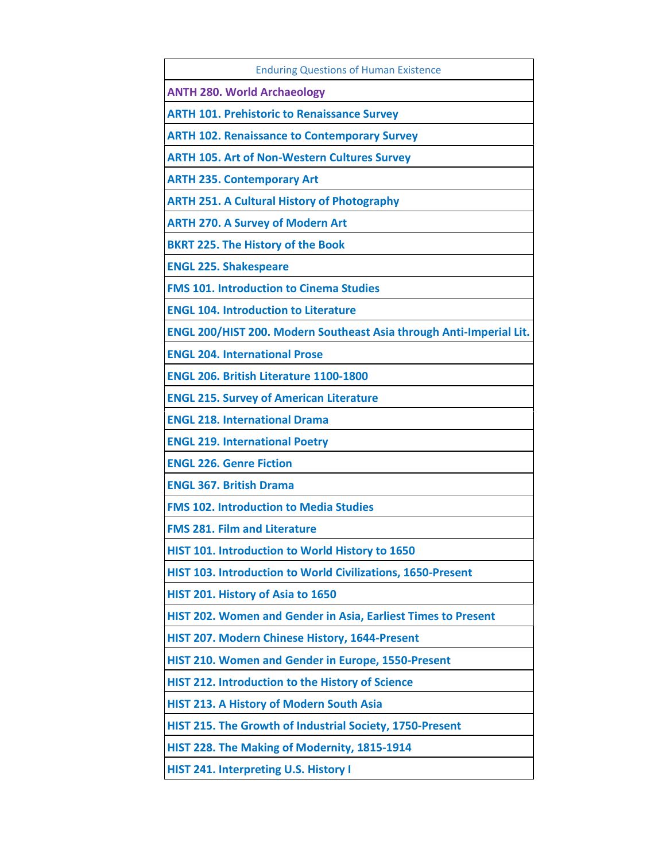| <b>Enduring Questions of Human Existence</b>                        |
|---------------------------------------------------------------------|
| <b>ANTH 280. World Archaeology</b>                                  |
| <b>ARTH 101. Prehistoric to Renaissance Survey</b>                  |
| <b>ARTH 102. Renaissance to Contemporary Survey</b>                 |
| <b>ARTH 105. Art of Non-Western Cultures Survey</b>                 |
| <b>ARTH 235. Contemporary Art</b>                                   |
| <b>ARTH 251. A Cultural History of Photography</b>                  |
| <b>ARTH 270. A Survey of Modern Art</b>                             |
| <b>BKRT 225. The History of the Book</b>                            |
| <b>ENGL 225. Shakespeare</b>                                        |
| <b>FMS 101. Introduction to Cinema Studies</b>                      |
| <b>ENGL 104. Introduction to Literature</b>                         |
| ENGL 200/HIST 200. Modern Southeast Asia through Anti-Imperial Lit. |
| <b>ENGL 204. International Prose</b>                                |
| <b>ENGL 206. British Literature 1100-1800</b>                       |
| <b>ENGL 215. Survey of American Literature</b>                      |
| <b>ENGL 218. International Drama</b>                                |
| <b>ENGL 219. International Poetry</b>                               |
| <b>ENGL 226. Genre Fiction</b>                                      |
| <b>ENGL 367. British Drama</b>                                      |
| <b>FMS 102. Introduction to Media Studies</b>                       |
| <b>FMS 281. Film and Literature</b>                                 |
| HIST 101. Introduction to World History to 1650                     |
| HIST 103. Introduction to World Civilizations, 1650-Present         |
| HIST 201. History of Asia to 1650                                   |
| HIST 202. Women and Gender in Asia, Earliest Times to Present       |
| HIST 207. Modern Chinese History, 1644-Present                      |
| HIST 210. Women and Gender in Europe, 1550-Present                  |
| HIST 212. Introduction to the History of Science                    |
| HIST 213. A History of Modern South Asia                            |
| HIST 215. The Growth of Industrial Society, 1750-Present            |
| HIST 228. The Making of Modernity, 1815-1914                        |
| HIST 241. Interpreting U.S. History I                               |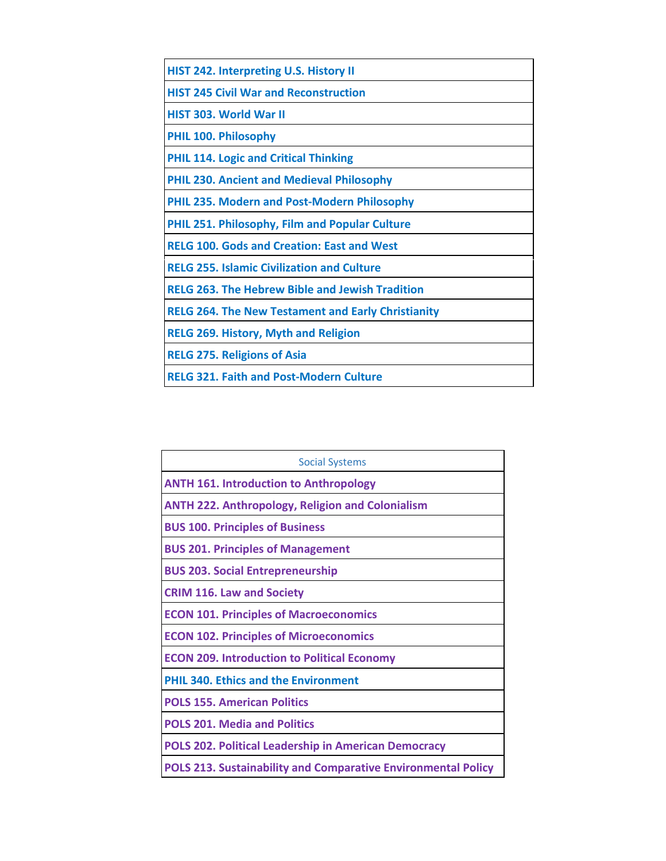| <b>HIST 242. Interpreting U.S. History II</b>             |
|-----------------------------------------------------------|
| <b>HIST 245 Civil War and Reconstruction</b>              |
| <b>HIST 303. World War II</b>                             |
| <b>PHIL 100. Philosophy</b>                               |
| <b>PHIL 114. Logic and Critical Thinking</b>              |
| <b>PHIL 230. Ancient and Medieval Philosophy</b>          |
| <b>PHIL 235. Modern and Post-Modern Philosophy</b>        |
| <b>PHIL 251. Philosophy, Film and Popular Culture</b>     |
| <b>RELG 100. Gods and Creation: East and West</b>         |
| <b>RELG 255. Islamic Civilization and Culture</b>         |
| <b>RELG 263. The Hebrew Bible and Jewish Tradition</b>    |
| <b>RELG 264. The New Testament and Early Christianity</b> |
| <b>RELG 269. History, Myth and Religion</b>               |
| <b>RELG 275. Religions of Asia</b>                        |
| <b>RELG 321. Faith and Post-Modern Culture</b>            |

| <b>Social Systems</b>                                                |  |
|----------------------------------------------------------------------|--|
| <b>ANTH 161. Introduction to Anthropology</b>                        |  |
| <b>ANTH 222. Anthropology, Religion and Colonialism</b>              |  |
| <b>BUS 100. Principles of Business</b>                               |  |
| <b>BUS 201. Principles of Management</b>                             |  |
| <b>BUS 203. Social Entrepreneurship</b>                              |  |
| <b>CRIM 116. Law and Society</b>                                     |  |
| <b>ECON 101. Principles of Macroeconomics</b>                        |  |
| <b>ECON 102. Principles of Microeconomics</b>                        |  |
| <b>ECON 209. Introduction to Political Economy</b>                   |  |
| <b>PHIL 340. Ethics and the Environment</b>                          |  |
| <b>POLS 155. American Politics</b>                                   |  |
| <b>POLS 201. Media and Politics</b>                                  |  |
| <b>POLS 202. Political Leadership in American Democracy</b>          |  |
| <b>POLS 213. Sustainability and Comparative Environmental Policy</b> |  |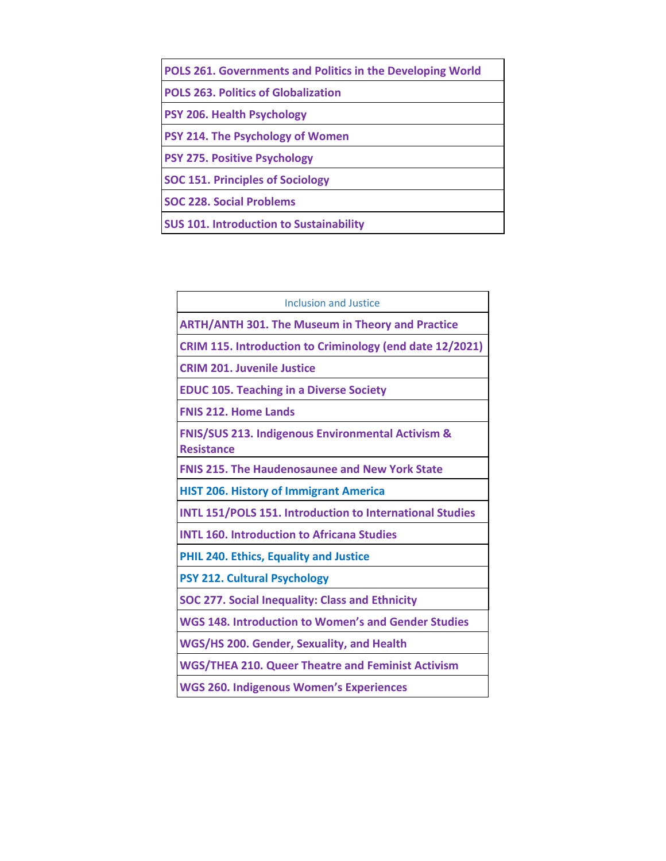| POLS 261. Governments and Politics in the Developing World |
|------------------------------------------------------------|
| <b>POLS 263. Politics of Globalization</b>                 |
| <b>PSY 206. Health Psychology</b>                          |
| PSY 214. The Psychology of Women                           |
| <b>PSY 275. Positive Psychology</b>                        |
| <b>SOC 151. Principles of Sociology</b>                    |
| <b>SOC 228. Social Problems</b>                            |
| <b>SUS 101. Introduction to Sustainability</b>             |

| Inclusion and Justice                                                             |  |
|-----------------------------------------------------------------------------------|--|
| <b>ARTH/ANTH 301. The Museum in Theory and Practice</b>                           |  |
| CRIM 115. Introduction to Criminology (end date 12/2021)                          |  |
| <b>CRIM 201. Juvenile Justice</b>                                                 |  |
| <b>EDUC 105. Teaching in a Diverse Society</b>                                    |  |
| <b>FNIS 212. Home Lands</b>                                                       |  |
| <b>FNIS/SUS 213. Indigenous Environmental Activism &amp;</b><br><b>Resistance</b> |  |
| <b>FNIS 215. The Haudenosaunee and New York State</b>                             |  |
| <b>HIST 206. History of Immigrant America</b>                                     |  |
| <b>INTL 151/POLS 151. Introduction to International Studies</b>                   |  |
| <b>INTL 160. Introduction to Africana Studies</b>                                 |  |
| <b>PHIL 240. Ethics, Equality and Justice</b>                                     |  |
| <b>PSY 212. Cultural Psychology</b>                                               |  |
| <b>SOC 277. Social Inequality: Class and Ethnicity</b>                            |  |
| <b>WGS 148. Introduction to Women's and Gender Studies</b>                        |  |
| WGS/HS 200. Gender, Sexuality, and Health                                         |  |
| <b>WGS/THEA 210. Queer Theatre and Feminist Activism</b>                          |  |
| <b>WGS 260. Indigenous Women's Experiences</b>                                    |  |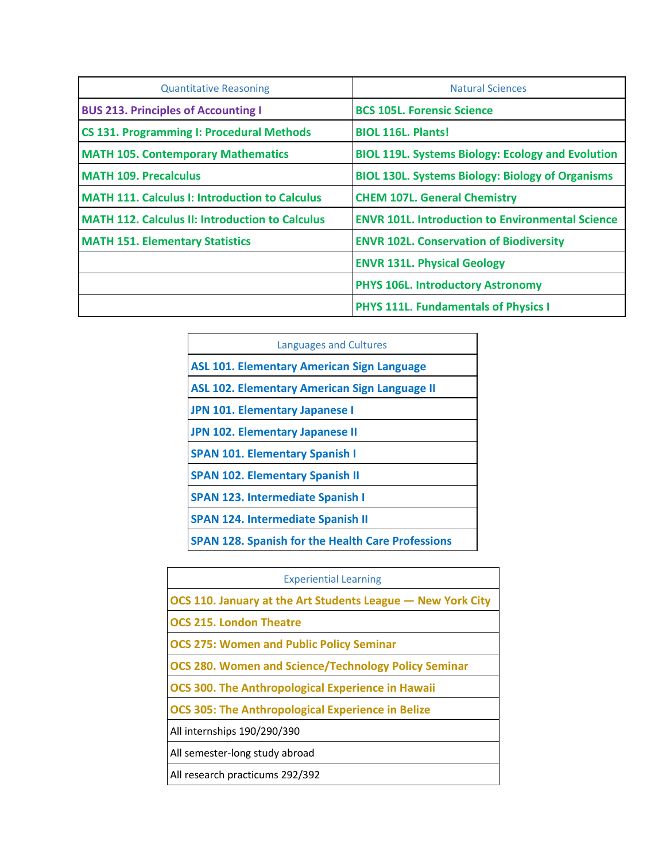| <b>Quantitative Reasoning</b>                          | <b>Natural Sciences</b>                                  |
|--------------------------------------------------------|----------------------------------------------------------|
| <b>BUS 213. Principles of Accounting I</b>             | <b>BCS 105L. Forensic Science</b>                        |
| <b>CS 131. Programming I: Procedural Methods</b>       | <b>BIOL 116L. Plants!</b>                                |
| <b>MATH 105. Contemporary Mathematics</b>              | <b>BIOL 119L. Systems Biology: Ecology and Evolution</b> |
| <b>MATH 109. Precalculus</b>                           | <b>BIOL 130L. Systems Biology: Biology of Organisms</b>  |
| <b>MATH 111. Calculus I: Introduction to Calculus</b>  | <b>CHEM 107L. General Chemistry</b>                      |
| <b>MATH 112. Calculus II: Introduction to Calculus</b> | <b>ENVR 101L. Introduction to Environmental Science</b>  |
| <b>MATH 151. Elementary Statistics</b>                 | <b>ENVR 102L. Conservation of Biodiversity</b>           |
|                                                        | <b>ENVR 131L. Physical Geology</b>                       |
|                                                        | <b>PHYS 106L. Introductory Astronomy</b>                 |
|                                                        | <b>PHYS 111L. Fundamentals of Physics I</b>              |

| <b>Languages and Cultures</b>                            |  |
|----------------------------------------------------------|--|
| <b>ASL 101. Elementary American Sign Language</b>        |  |
| <b>ASL 102. Elementary American Sign Language II</b>     |  |
| JPN 101. Elementary Japanese I                           |  |
| JPN 102. Elementary Japanese II                          |  |
| <b>SPAN 101. Elementary Spanish I</b>                    |  |
| <b>SPAN 102. Elementary Spanish II</b>                   |  |
| <b>SPAN 123. Intermediate Spanish I</b>                  |  |
| <b>SPAN 124. Intermediate Spanish II</b>                 |  |
| <b>SPAN 128. Spanish for the Health Care Professions</b> |  |

| <b>Experiential Learning</b>                                |  |
|-------------------------------------------------------------|--|
| OCS 110. January at the Art Students League – New York City |  |
| <b>OCS 215. London Theatre</b>                              |  |
| <b>OCS 275: Women and Public Policy Seminar</b>             |  |
| <b>OCS 280. Women and Science/Technology Policy Seminar</b> |  |
| <b>OCS 300. The Anthropological Experience in Hawaii</b>    |  |
| <b>OCS 305: The Anthropological Experience in Belize</b>    |  |
| All internships 190/290/390                                 |  |
| All semester-long study abroad                              |  |
| All research practicums 292/392                             |  |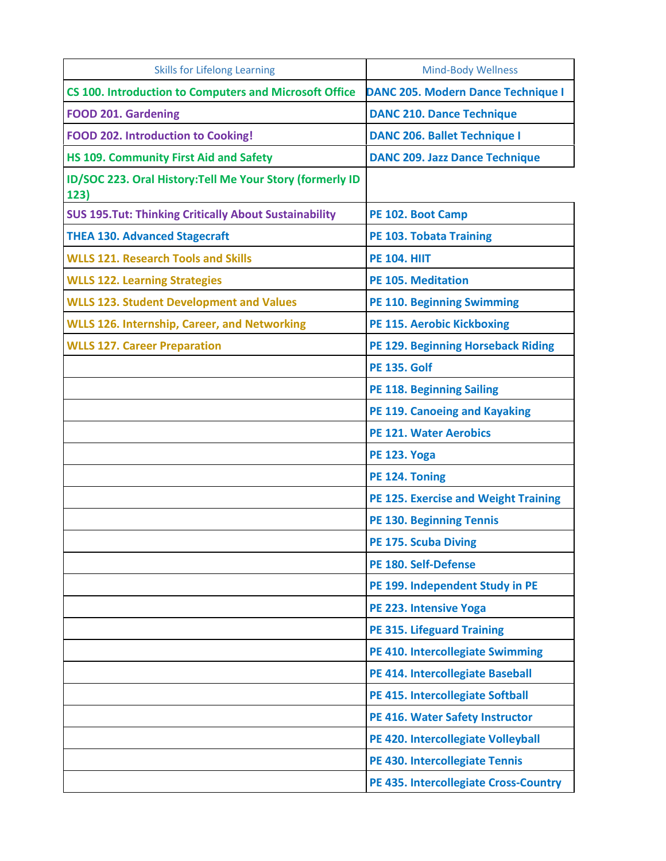| <b>Skills for Lifelong Learning</b>                               | <b>Mind-Body Wellness</b>                    |
|-------------------------------------------------------------------|----------------------------------------------|
| CS 100. Introduction to Computers and Microsoft Office            | <b>DANC 205. Modern Dance Technique I</b>    |
| <b>FOOD 201. Gardening</b>                                        | <b>DANC 210. Dance Technique</b>             |
| <b>FOOD 202. Introduction to Cooking!</b>                         | <b>DANC 206. Ballet Technique I</b>          |
| HS 109. Community First Aid and Safety                            | <b>DANC 209. Jazz Dance Technique</b>        |
| ID/SOC 223. Oral History: Tell Me Your Story (formerly ID<br>123) |                                              |
| <b>SUS 195. Tut: Thinking Critically About Sustainability</b>     | PE 102. Boot Camp                            |
| <b>THEA 130. Advanced Stagecraft</b>                              | <b>PE 103. Tobata Training</b>               |
| <b>WLLS 121. Research Tools and Skills</b>                        | <b>PE 104. HIIT</b>                          |
| <b>WLLS 122. Learning Strategies</b>                              | <b>PE 105. Meditation</b>                    |
| <b>WLLS 123. Student Development and Values</b>                   | <b>PE 110. Beginning Swimming</b>            |
| <b>WLLS 126. Internship, Career, and Networking</b>               | <b>PE 115. Aerobic Kickboxing</b>            |
| <b>WLLS 127. Career Preparation</b>                               | PE 129. Beginning Horseback Riding           |
|                                                                   | <b>PE 135, Golf</b>                          |
|                                                                   | <b>PE 118. Beginning Sailing</b>             |
|                                                                   | <b>PE 119. Canoeing and Kayaking</b>         |
|                                                                   | <b>PE 121. Water Aerobics</b>                |
|                                                                   | <b>PE 123. Yoga</b>                          |
|                                                                   | PE 124. Toning                               |
|                                                                   | <b>PE 125. Exercise and Weight Training</b>  |
|                                                                   | <b>PE 130. Beginning Tennis</b>              |
|                                                                   | <b>PE 175. Scuba Diving</b>                  |
|                                                                   | PE 180. Self-Defense                         |
|                                                                   | PE 199. Independent Study in PE              |
|                                                                   | PE 223. Intensive Yoga                       |
|                                                                   | <b>PE 315. Lifeguard Training</b>            |
|                                                                   | PE 410. Intercollegiate Swimming             |
|                                                                   | PE 414. Intercollegiate Baseball             |
|                                                                   | PE 415. Intercollegiate Softball             |
|                                                                   | PE 416. Water Safety Instructor              |
|                                                                   | PE 420. Intercollegiate Volleyball           |
|                                                                   | PE 430. Intercollegiate Tennis               |
|                                                                   | <b>PE 435. Intercollegiate Cross-Country</b> |